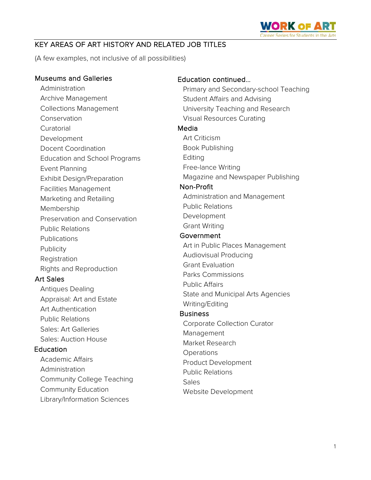

# KEY AREAS OF ART HISTORY AND RELATED JOB TITLES

(A few examples, not inclusive of all possibilities)

Museums and Galleries Administration Archive Management Collections Management Conservation Curatorial Development Docent Coordination Education and School Programs Event Planning Exhibit Design/Preparation Facilities Management Marketing and Retailing Membership Preservation and Conservation Public Relations **Publications Publicity** Registration Rights and Reproduction Art Sales Antiques Dealing Appraisal: Art and Estate Art Authentication Public Relations Sales: Art Galleries Sales: Auction House **Education** Academic Affairs Administration Community College Teaching Community Education Library/Information Sciences Education continued… Primary and Secondary-school Teaching Student Affairs and Advising University Teaching and Research Visual Resources Curating Media Art Criticism Book Publishing Editing Free-lance Writing Magazine and Newspaper Publishing Non-Profit Administration and Management Public Relations Development Grant Writing **Government** Art in Public Places Management Audiovisual Producing Grant Evaluation Parks Commissions Public Affairs State and Municipal Arts Agencies Writing/Editing **Business** Corporate Collection Curator Management Market Research **Operations** Product Development Public Relations **Sales** Website Development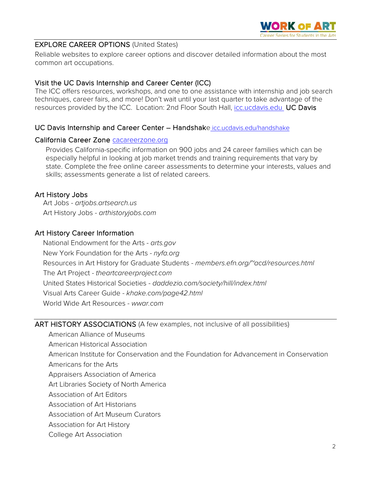

## EXPLORE CAREER OPTIONS (United States)

Reliable websites to explore career options and discover detailed information about the most common art occupations.

# Visit the UC Davis Internship and Career Center (ICC)

The ICC offers resources, workshops, and one to one assistance with internship and job search techniques, career fairs, and more! Don't wait until your last quarter to take advantage of the resources provided by the ICC. Location: 2nd Floor South Hall, [icc.ucdavis.edu](http://icc.ucdavis.edu/) UC Davis

# UC Davis Internship and Career Center – Handshake [icc.ucdavis.edu/handshake](https://icc.ucdavis.edu/handshake)

## California Career Zone [cacareerzone.org](https://www.cacareerzone.org/)

Provides California-specific information on 900 jobs and 24 career families which can be especially helpful in looking at job market trends and training requirements that vary by state. Complete the free online career assessments to determine your interests, values and skills; assessments generate a list of related careers.

# Art History Jobs

Art Jobs - *artjobs.artsearch.us* Art History Jobs - *arthistoryjobs.com*

# Art History Career Information

[National Endowment for the Arts](http://www.nea.gov/) - *arts.gov* [New York Foundation for the Arts](http://www.nyfa.org/) - *nyfa.org* [Resources in Art History for Graduate Students](http://www.efn.org/%7Eacd/resources.html) - *members.efn.org/~acd/resources.html* The Art Project - *theartcareerproject.com* [United States Historical Societies](http://www.daddezio.com/society/hill/index.html) - *daddezio.com/society/hill/index.html* [Visual Arts Career Guide](http://www.khake.com/page42.html) - *khake.com/page42.html* [World Wide Art Resources](http://www.wwar.com/) - *wwar.com*

## ART HISTORY ASSOCIATIONS (A few examples, not inclusive of all possibilities)

American Alliance of Museums

American Historical Association

American Institute for Conservation and the Foundation for Advancement in Conservation

Americans for the Arts

Appraisers Association of America

Art Libraries Society of North America

Association of Art Editors

Association of Art Historians

Association of Art Museum Curators

Association for Art History

#### College Art Association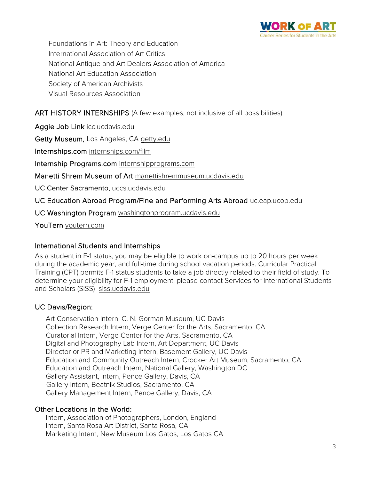

Foundations in Art: Theory and Education International Association of Art Critics National Antique and Art Dealers Association of America National Art Education Association Society of American Archivists Visual Resources Association

# ART HISTORY INTERNSHIPS (A few examples, not inclusive of all possibilities)

Aggie Job Link [icc.ucdavis.edu](https://icc.ucdavis.edu/students/ajl.htm)

Getty Museum, Los Angeles, CA getty.edu

Internships.com [internships.com/film](http://www.internships.com/film)

Internship Programs.com [internshipprograms.com](http://www.internshipprograms.com/)

#### Manetti Shrem Museum of Art manettishremmuseum.ucdavis.edu

UC Center Sacramento, uccs.ucdavis.edu

UC Education Abroad Program/Fine and Performing Arts Abroad [uc.eap.ucop.edu](http://eap.ucop.edu/OurPrograms/Pages/fine-and-performing-arts.aspx)

UC Washington Program washingtonprogram.ucdavis.edu

YouTern [youtern.com](http://www.youtern.com/)

## International Students and Internships

As a student in F-1 status, you may be eligible to work on-campus up to 20 hours per week during the academic year, and full-time during school vacation periods. Curricular Practical Training (CPT) permits F-1 status students to take a job directly related to their field of study. To determine your eligibility for F-1 employment, please contact Services for International Students and Scholars (SISS) siss.ucdavis.edu

## UC Davis/Region:

Art Conservation Intern, C. N. Gorman Museum, UC Davis Collection Research Intern, Verge Center for the Arts, Sacramento, CA Curatorial Intern, Verge Center for the Arts, Sacramento, CA Digital and Photography Lab Intern, Art Department, UC Davis Director or PR and Marketing Intern, Basement Gallery, UC Davis Education and Community Outreach Intern, Crocker Art Museum, Sacramento, CA Education and Outreach Intern, National Gallery, Washington DC Gallery Assistant, Intern, Pence Gallery, Davis, CA Gallery Intern, Beatnik Studios, Sacramento, CA Gallery Management Intern, Pence Gallery, Davis, CA

## Other Locations in the World:

Intern, Association of Photographers, London, England Intern, Santa Rosa Art District, Santa Rosa, CA Marketing Intern, New Museum Los Gatos, Los Gatos CA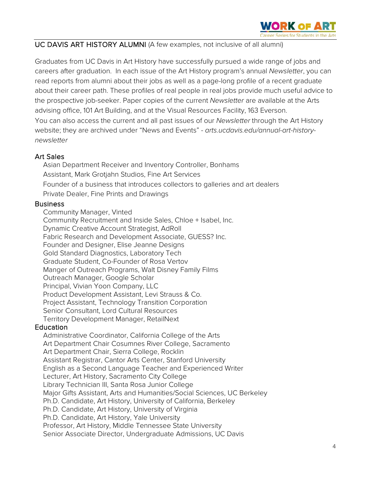

### UC DAVIS ART HISTORY ALUMNI (A few examples, not inclusive of all alumni)

Graduates from UC Davis in Art History have successfully pursued a wide range of jobs and careers after graduation. In each issue of the Art History program's annual *Newsletter*, you can read reports from alumni about their jobs as well as a page-long profile of a recent graduate about their career path. These profiles of real people in real jobs provide much useful advice to the prospective job-seeker. Paper copies of the current *Newsletter* are available at the Arts advising office, 101 Art Building, and at the Visual Resources Facility, 163 Everson. You can also access the current and all past issues of our *Newsletter* through the Art History website; they are archived under "News and Events" - *[arts.ucdavis.edu/annual-art-history](http://arts.ucdavis.edu/annual-art-history-newsletter)[newsletter](http://arts.ucdavis.edu/annual-art-history-newsletter)* 

### Art Sales

Asian Department Receiver and Inventory Controller, Bonhams Assistant, Mark Grotjahn Studios, Fine Art Services Founder of a business that introduces collectors to galleries and art dealers Private Dealer, Fine Prints and Drawings

#### **Business**

Community Manager, Vinted Community Recruitment and Inside Sales, Chloe + Isabel, Inc. Dynamic Creative Account Strategist, AdRoll Fabric Research and Development Associate, GUESS? Inc. Founder and Designer, Elise Jeanne Designs Gold Standard Diagnostics, Laboratory Tech Graduate Student, Co-Founder of Rosa Vertov Manger of Outreach Programs, Walt Disney Family Films Outreach Manager, Google Scholar Principal, Vivian Yoon Company, LLC Product Development Assistant, Levi Strauss & Co. Project Assistant, Technology Transition Corporation Senior Consultant, Lord Cultural Resources Territory Development Manager, RetailNext

#### **Education**

Administrative Coordinator, California College of the Arts Art Department Chair Cosumnes River College, Sacramento Art Department Chair, Sierra College, Rocklin Assistant Registrar, Cantor Arts Center, Stanford University English as a Second Language Teacher and Experienced Writer Lecturer, Art History, Sacramento City College Library Technician III, Santa Rosa Junior College Major Gifts Assistant, Arts and Humanities/Social Sciences, UC Berkeley Ph.D. Candidate, Art History, University of California, Berkeley Ph.D. Candidate, Art History, University of Virginia Ph.D. Candidate, Art History, Yale University Professor, Art History, Middle Tennessee State University Senior Associate Director, Undergraduate Admissions, UC Davis